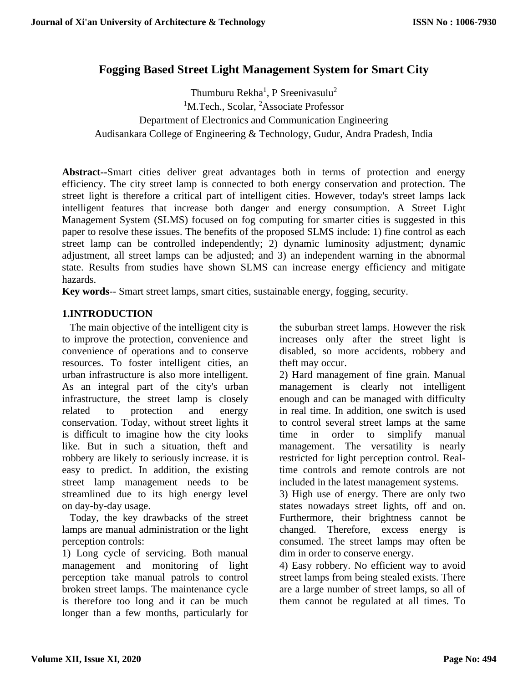# **Fogging Based Street Light Management System for Smart City**

Thumburu Rekha<sup>1</sup>, P Sreenivasulu<sup>2</sup> <sup>1</sup>M.Tech., Scolar, <sup>2</sup>Associate Professor Department of Electronics and Communication Engineering Audisankara College of Engineering & Technology, Gudur, Andra Pradesh, India

**Abstract--**Smart cities deliver great advantages both in terms of protection and energy efficiency. The city street lamp is connected to both energy conservation and protection. The street light is therefore a critical part of intelligent cities. However, today's street lamps lack intelligent features that increase both danger and energy consumption. A Street Light Management System (SLMS) focused on fog computing for smarter cities is suggested in this paper to resolve these issues. The benefits of the proposed SLMS include: 1) fine control as each street lamp can be controlled independently; 2) dynamic luminosity adjustment; dynamic adjustment, all street lamps can be adjusted; and 3) an independent warning in the abnormal state. Results from studies have shown SLMS can increase energy efficiency and mitigate hazards.

**Key words**-- Smart street lamps, smart cities, sustainable energy, fogging, security.

# **1.INTRODUCTION**

The main objective of the intelligent city is to improve the protection, convenience and convenience of operations and to conserve resources. To foster intelligent cities, an urban infrastructure is also more intelligent. As an integral part of the city's urban infrastructure, the street lamp is closely related to protection and energy conservation. Today, without street lights it is difficult to imagine how the city looks like. But in such a situation, theft and robbery are likely to seriously increase. it is easy to predict. In addition, the existing street lamp management needs to be streamlined due to its high energy level on day-by-day usage.

Today, the key drawbacks of the street lamps are manual administration or the light perception controls:

1) Long cycle of servicing. Both manual management and monitoring of light perception take manual patrols to control broken street lamps. The maintenance cycle is therefore too long and it can be much longer than a few months, particularly for

the suburban street lamps. However the risk increases only after the street light is disabled, so more accidents, robbery and theft may occur.

2) Hard management of fine grain. Manual management is clearly not intelligent enough and can be managed with difficulty in real time. In addition, one switch is used to control several street lamps at the same time in order to simplify manual management. The versatility is nearly restricted for light perception control. Realtime controls and remote controls are not included in the latest management systems.

3) High use of energy. There are only two states nowadays street lights, off and on. Furthermore, their brightness cannot be changed. Therefore, excess energy is consumed. The street lamps may often be dim in order to conserve energy.

4) Easy robbery. No efficient way to avoid street lamps from being stealed exists. There are a large number of street lamps, so all of them cannot be regulated at all times. To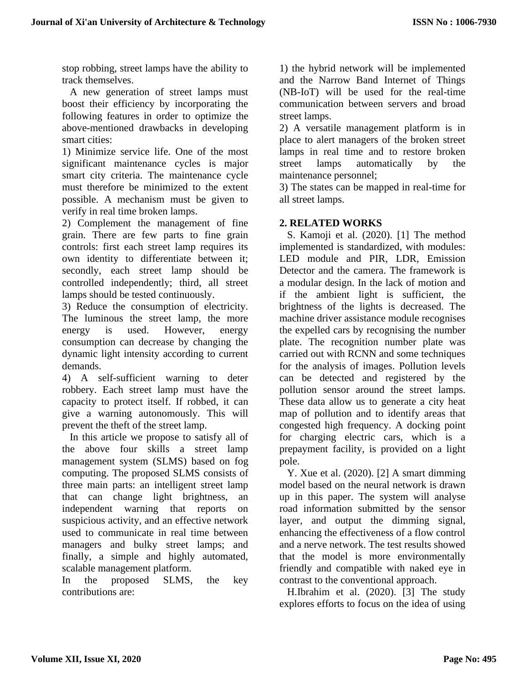stop robbing, street lamps have the ability to track themselves.

A new generation of street lamps must boost their efficiency by incorporating the following features in order to optimize the above-mentioned drawbacks in developing smart cities:

1) Minimize service life. One of the most significant maintenance cycles is major smart city criteria. The maintenance cycle must therefore be minimized to the extent possible. A mechanism must be given to verify in real time broken lamps.

2) Complement the management of fine grain. There are few parts to fine grain controls: first each street lamp requires its own identity to differentiate between it; secondly, each street lamp should be controlled independently; third, all street lamps should be tested continuously.

3) Reduce the consumption of electricity. The luminous the street lamp, the more energy is used. However, energy consumption can decrease by changing the dynamic light intensity according to current demands.

4) A self-sufficient warning to deter robbery. Each street lamp must have the capacity to protect itself. If robbed, it can give a warning autonomously. This will prevent the theft of the street lamp.

In this article we propose to satisfy all of the above four skills a street lamp management system (SLMS) based on fog computing. The proposed SLMS consists of three main parts: an intelligent street lamp that can change light brightness, an independent warning that reports on suspicious activity, and an effective network used to communicate in real time between managers and bulky street lamps; and finally, a simple and highly automated, scalable management platform.

In the proposed SLMS, the key contributions are:

1) the hybrid network will be implemented and the Narrow Band Internet of Things (NB-IoT) will be used for the real-time communication between servers and broad street lamps.

2) A versatile management platform is in place to alert managers of the broken street lamps in real time and to restore broken street lamps automatically by the maintenance personnel;

3) The states can be mapped in real-time for all street lamps.

# **2. RELATED WORKS**

S. Kamoji et al. (2020). [1] The method implemented is standardized, with modules: LED module and PIR, LDR, Emission Detector and the camera. The framework is a modular design. In the lack of motion and if the ambient light is sufficient, the brightness of the lights is decreased. The machine driver assistance module recognises the expelled cars by recognising the number plate. The recognition number plate was carried out with RCNN and some techniques for the analysis of images. Pollution levels can be detected and registered by the pollution sensor around the street lamps. These data allow us to generate a city heat map of pollution and to identify areas that congested high frequency. A docking point for charging electric cars, which is a prepayment facility, is provided on a light pole.

Y. Xue et al. (2020). [2] A smart dimming model based on the neural network is drawn up in this paper. The system will analyse road information submitted by the sensor layer, and output the dimming signal, enhancing the effectiveness of a flow control and a nerve network. The test results showed that the model is more environmentally friendly and compatible with naked eye in contrast to the conventional approach.

H.Ibrahim et al. (2020). [3] The study explores efforts to focus on the idea of using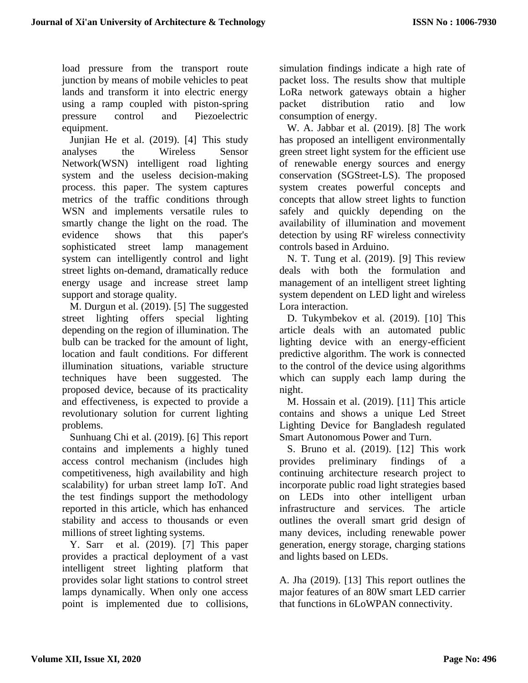load pressure from the transport route junction by means of mobile vehicles to peat lands and transform it into electric energy using a ramp coupled with piston-spring pressure control and Piezoelectric equipment.

Junjian He et al. (2019). [4] This study analyses the Wireless Sensor Network(WSN) intelligent road lighting system and the useless decision-making process. this paper. The system captures metrics of the traffic conditions through WSN and implements versatile rules to smartly change the light on the road. The evidence shows that this paper's sophisticated street lamp management system can intelligently control and light street lights on-demand, dramatically reduce energy usage and increase street lamp support and storage quality.

M. Durgun et al. (2019). [5] The suggested street lighting offers special lighting depending on the region of illumination. The bulb can be tracked for the amount of light, location and fault conditions. For different illumination situations, variable structure techniques have been suggested. The proposed device, because of its practicality and effectiveness, is expected to provide a revolutionary solution for current lighting problems.

Sunhuang Chi et al. (2019). [6] This report contains and implements a highly tuned access control mechanism (includes high competitiveness, high availability and high scalability) for urban street lamp IoT. And the test findings support the methodology reported in this article, which has enhanced stability and access to thousands or even millions of street lighting systems.

Y. Sarr et al. (2019). [7] This paper provides a practical deployment of a vast intelligent street lighting platform that provides solar light stations to control street lamps dynamically. When only one access point is implemented due to collisions, simulation findings indicate a high rate of packet loss. The results show that multiple LoRa network gateways obtain a higher packet distribution ratio and low consumption of energy.

W. A. Jabbar et al. (2019). [8] The work has proposed an intelligent environmentally green street light system for the efficient use of renewable energy sources and energy conservation (SGStreet-LS). The proposed system creates powerful concepts and concepts that allow street lights to function safely and quickly depending on the availability of illumination and movement detection by using RF wireless connectivity controls based in Arduino.

N. T. Tung et al. (2019). [9] This review deals with both the formulation and management of an intelligent street lighting system dependent on LED light and wireless Lora interaction.

D. Tukymbekov et al. (2019). [10] This article deals with an automated public lighting device with an energy-efficient predictive algorithm. The work is connected to the control of the device using algorithms which can supply each lamp during the night.

M. Hossain et al. (2019). [11] This article contains and shows a unique Led Street Lighting Device for Bangladesh regulated Smart Autonomous Power and Turn.

S. Bruno et al. (2019). [12] This work provides preliminary findings of a continuing architecture research project to incorporate public road light strategies based on LEDs into other intelligent urban infrastructure and services. The article outlines the overall smart grid design of many devices, including renewable power generation, energy storage, charging stations and lights based on LEDs.

A. Jha (2019). [13] This report outlines the major features of an 80W smart LED carrier that functions in 6LoWPAN connectivity.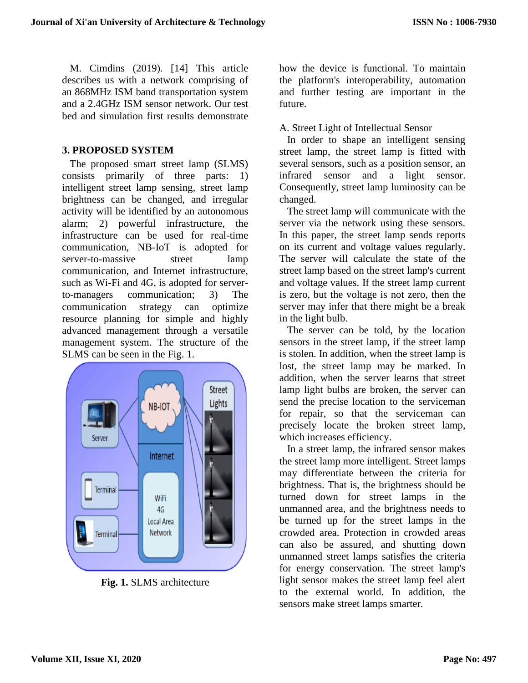M. Cimdins (2019). [14] This article describes us with a network comprising of an 868MHz ISM band transportation system and a 2.4GHz ISM sensor network. Our test bed and simulation first results demonstrate

#### **3. PROPOSED SYSTEM**

The proposed smart street lamp (SLMS) consists primarily of three parts: 1) intelligent street lamp sensing, street lamp brightness can be changed, and irregular activity will be identified by an autonomous alarm; 2) powerful infrastructure, the infrastructure can be used for real-time communication, NB-IoT is adopted for server-to-massive street lamp communication, and Internet infrastructure, such as Wi-Fi and 4G, is adopted for serverto-managers communication; 3) The communication strategy can optimize resource planning for simple and highly advanced management through a versatile management system. The structure of the SLMS can be seen in the Fig. 1.



**Fig. 1.** SLMS architecture

how the device is functional. To maintain the platform's interoperability, automation and further testing are important in the future.

A. Street Light of Intellectual Sensor

In order to shape an intelligent sensing street lamp, the street lamp is fitted with several sensors, such as a position sensor, an infrared sensor and a light sensor. Consequently, street lamp luminosity can be changed.

The street lamp will communicate with the server via the network using these sensors. In this paper, the street lamp sends reports on its current and voltage values regularly. The server will calculate the state of the street lamp based on the street lamp's current and voltage values. If the street lamp current is zero, but the voltage is not zero, then the server may infer that there might be a break in the light bulb.

The server can be told, by the location sensors in the street lamp, if the street lamp is stolen. In addition, when the street lamp is lost, the street lamp may be marked. In addition, when the server learns that street lamp light bulbs are broken, the server can send the precise location to the serviceman for repair, so that the serviceman can precisely locate the broken street lamp, which increases efficiency.

In a street lamp, the infrared sensor makes the street lamp more intelligent. Street lamps may differentiate between the criteria for brightness. That is, the brightness should be turned down for street lamps in the unmanned area, and the brightness needs to be turned up for the street lamps in the crowded area. Protection in crowded areas can also be assured, and shutting down unmanned street lamps satisfies the criteria for energy conservation. The street lamp's light sensor makes the street lamp feel alert to the external world. In addition, the sensors make street lamps smarter.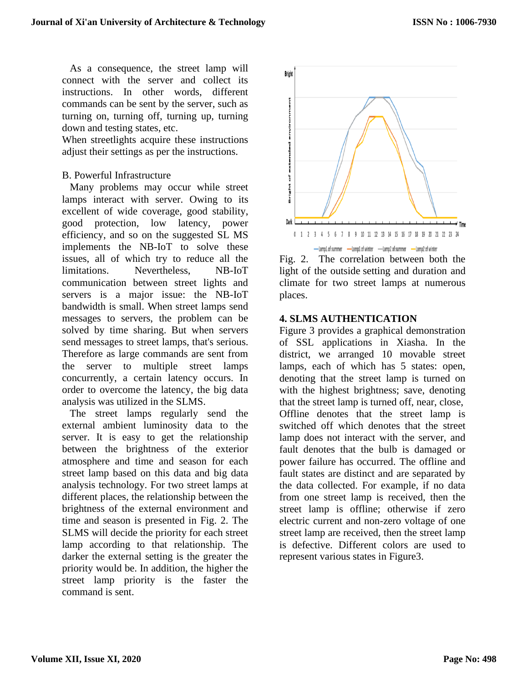As a consequence, the street lamp will connect with the server and collect its instructions. In other words, different commands can be sent by the server, such as turning on, turning off, turning up, turning down and testing states, etc.

When streetlights acquire these instructions adjust their settings as per the instructions.

#### B. Powerful Infrastructure

Many problems may occur while street lamps interact with server. Owing to its excellent of wide coverage, good stability, good protection, low latency, power efficiency, and so on the suggested SL MS implements the NB-IoT to solve these issues, all of which try to reduce all the limitations. Nevertheless, NB-IoT communication between street lights and servers is a major issue: the NB-IoT bandwidth is small. When street lamps send messages to servers, the problem can be solved by time sharing. But when servers send messages to street lamps, that's serious. Therefore as large commands are sent from the server to multiple street lamps concurrently, a certain latency occurs. In order to overcome the latency, the big data analysis was utilized in the SLMS.

The street lamps regularly send the external ambient luminosity data to the server. It is easy to get the relationship between the brightness of the exterior atmosphere and time and season for each street lamp based on this data and big data analysis technology. For two street lamps at different places, the relationship between the brightness of the external environment and time and season is presented in Fig. 2. The SLMS will decide the priority for each street lamp according to that relationship. The darker the external setting is the greater the priority would be. In addition, the higher the street lamp priority is the faster the command is sent.



Fig. 2. The correlation between both the light of the outside setting and duration and climate for two street lamps at numerous places.

#### **4. SLMS AUTHENTICATION**

Figure 3 provides a graphical demonstration of SSL applications in Xiasha. In the district, we arranged 10 movable street lamps, each of which has 5 states: open, denoting that the street lamp is turned on with the highest brightness; save, denoting that the street lamp is turned off, near, close, Offline denotes that the street lamp is switched off which denotes that the street lamp does not interact with the server, and fault denotes that the bulb is damaged or power failure has occurred. The offline and fault states are distinct and are separated by the data collected. For example, if no data from one street lamp is received, then the street lamp is offline; otherwise if zero electric current and non-zero voltage of one street lamp are received, then the street lamp is defective. Different colors are used to represent various states in Figure3.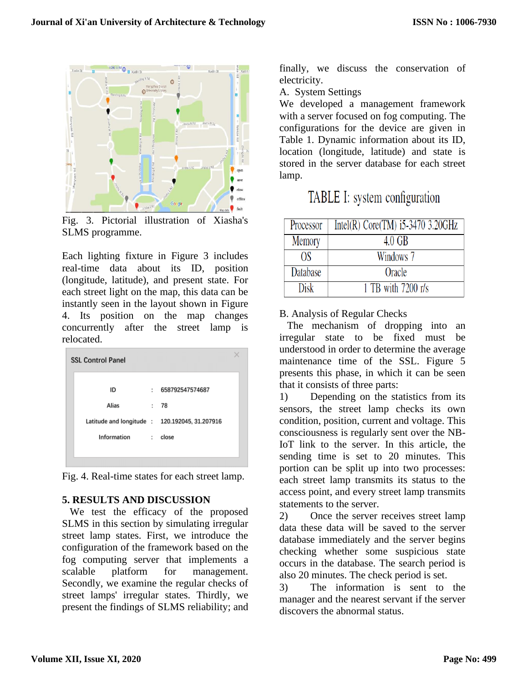

Fig. 3. Pictorial illustration of Xiasha's SLMS programme.

Each lighting fixture in Figure 3 includes real-time data about its ID, position (longitude, latitude), and present state. For each street light on the map, this data can be instantly seen in the layout shown in Figure 4. Its position on the map changes concurrently after the street lamp is relocated.

| ID          | t.                   | 658792547574687                                |
|-------------|----------------------|------------------------------------------------|
| Alias       | $\mathbf{r}$         | - 78                                           |
|             |                      | Latitude and longitude : 120.192045, 31.207916 |
| Information | $\ddot{\phantom{a}}$ | close                                          |

Fig. 4. Real-time states for each street lamp.

# **5. RESULTS AND DISCUSSION**

We test the efficacy of the proposed SLMS in this section by simulating irregular street lamp states. First, we introduce the configuration of the framework based on the fog computing server that implements a scalable platform for management. Secondly, we examine the regular checks of street lamps' irregular states. Thirdly, we present the findings of SLMS reliability; and finally, we discuss the conservation of electricity.

A. System Settings

We developed a management framework with a server focused on fog computing. The configurations for the device are given in Table 1. Dynamic information about its ID, location (longitude, latitude) and state is stored in the server database for each street lamp.

| TABLE I: system configuration |  |
|-------------------------------|--|
|-------------------------------|--|

| Processor | Intel(R) Core(TM) $i5-3470$ 3.20GHz |
|-----------|-------------------------------------|
| Memory    | $4.0 \text{ GB}$                    |
| OS        | Windows 7                           |
| Database  | Oracle                              |
| Disk      | 1 TB with 7200 r/s                  |

# B. Analysis of Regular Checks

The mechanism of dropping into an irregular state to be fixed must be understood in order to determine the average maintenance time of the SSL. Figure 5 presents this phase, in which it can be seen that it consists of three parts:

1) Depending on the statistics from its sensors, the street lamp checks its own condition, position, current and voltage. This consciousness is regularly sent over the NB-IoT link to the server. In this article, the sending time is set to 20 minutes. This portion can be split up into two processes: each street lamp transmits its status to the access point, and every street lamp transmits statements to the server.

2) Once the server receives street lamp data these data will be saved to the server database immediately and the server begins checking whether some suspicious state occurs in the database. The search period is also 20 minutes. The check period is set.

3) The information is sent to the manager and the nearest servant if the server discovers the abnormal status.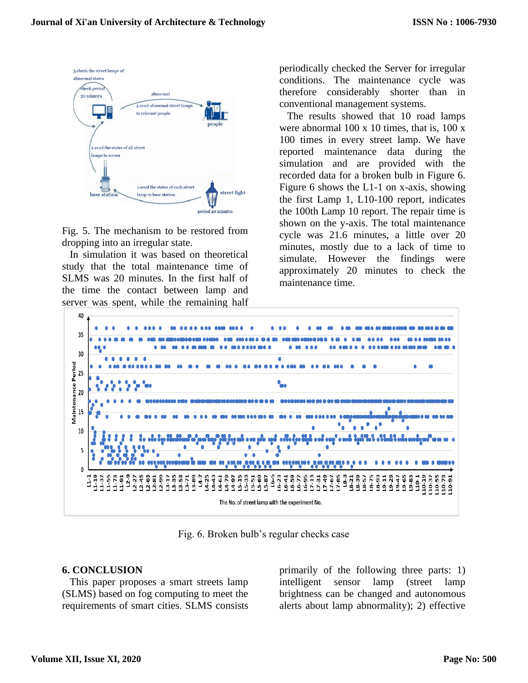

Fig. 5. The mechanism to be restored from dropping into an irregular state.

In simulation it was based on theoretical study that the total maintenance time of SLMS was 20 minutes. In the first half of the time the contact between lamp and server was spent, while the remaining half periodically checked the Server for irregular conditions. The maintenance cycle was therefore considerably shorter than in conventional management systems.

The results showed that 10 road lamps were abnormal 100 x 10 times, that is, 100 x 100 times in every street lamp. We have reported maintenance data during the simulation and are provided with the recorded data for a broken bulb in Figure 6. Figure 6 shows the L1-1 on x-axis, showing the first Lamp 1, L10-100 report, indicates the 100th Lamp 10 report. The repair time is shown on the y-axis. The total maintenance cycle was 21.6 minutes, a little over 20 minutes, mostly due to a lack of time to simulate. However the findings were approximately 20 minutes to check the maintenance time.



Fig. 6. Broken bulb's regular checks case

# **6. CONCLUSION**

This paper proposes a smart streets lamp (SLMS) based on fog computing to meet the requirements of smart cities. SLMS consists primarily of the following three parts: 1) intelligent sensor lamp (street lamp brightness can be changed and autonomous alerts about lamp abnormality); 2) effective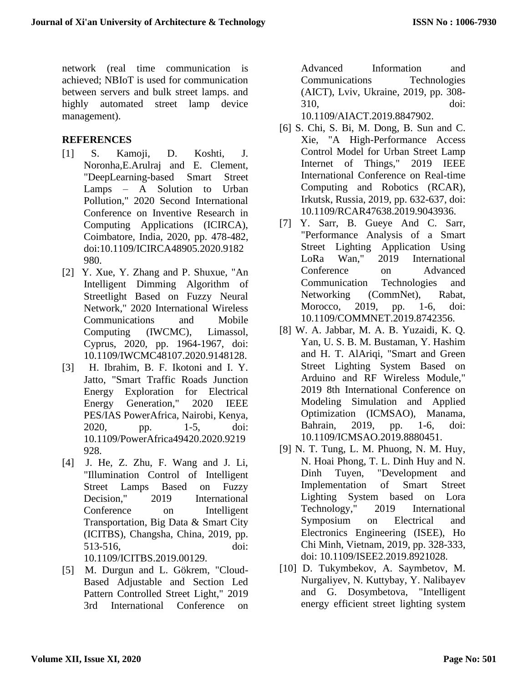network (real time communication is achieved; NBIoT is used for communication between servers and bulk street lamps. and highly automated street lamp device management).

# **REFERENCES**

- [1] S. Kamoji, D. Koshti, J. Noronha,E.Arulraj and E. Clement, "DeepLearning-based Smart Street Lamps – A Solution to Urban Pollution," 2020 Second International Conference on Inventive Research in Computing Applications (ICIRCA), Coimbatore, India, 2020, pp. 478-482, doi:10.1109/ICIRCA48905.2020.9182 980.
- [2] Y. Xue, Y. Zhang and P. Shuxue, "An Intelligent Dimming Algorithm of Streetlight Based on Fuzzy Neural Network," 2020 International Wireless Communications and Mobile Computing (IWCMC), Limassol, Cyprus, 2020, pp. 1964-1967, doi: 10.1109/IWCMC48107.2020.9148128.
- [3] H. Ibrahim, B. F. Ikotoni and I. Y. Jatto, "Smart Traffic Roads Junction Energy Exploration for Electrical Energy Generation," 2020 IEEE PES/IAS PowerAfrica, Nairobi, Kenya, 2020, pp. 1-5, doi: 10.1109/PowerAfrica49420.2020.9219 928.
- [4] J. He, Z. Zhu, F. Wang and J. Li, "Illumination Control of Intelligent Street Lamps Based on Fuzzy Decision," 2019 International Conference on Intelligent Transportation, Big Data & Smart City (ICITBS), Changsha, China, 2019, pp. 513-516, doi: 10.1109/ICITBS.2019.00129.
- [5] M. Durgun and L. Gökrem, "Cloud-Based Adjustable and Section Led Pattern Controlled Street Light," 2019 3rd International Conference on

Advanced Information and Communications Technologies (AICT), Lviv, Ukraine, 2019, pp. 308- 310, doi:

10.1109/AIACT.2019.8847902.

- [6] S. Chi, S. Bi, M. Dong, B. Sun and C. Xie, "A High-Performance Access Control Model for Urban Street Lamp Internet of Things," 2019 IEEE International Conference on Real-time Computing and Robotics (RCAR), Irkutsk, Russia, 2019, pp. 632-637, doi: 10.1109/RCAR47638.2019.9043936.
- [7] Y. Sarr, B. Gueye And C. Sarr, "Performance Analysis of a Smart Street Lighting Application Using LoRa Wan," 2019 International Conference on Advanced Communication Technologies and Networking (CommNet), Rabat, Morocco, 2019, pp. 1-6, doi: 10.1109/COMMNET.2019.8742356.
- [8] W. A. Jabbar, M. A. B. Yuzaidi, K. Q. Yan, U. S. B. M. Bustaman, Y. Hashim and H. T. AlAriqi, "Smart and Green Street Lighting System Based on Arduino and RF Wireless Module," 2019 8th International Conference on Modeling Simulation and Applied Optimization (ICMSAO), Manama, Bahrain, 2019, pp. 1-6, doi: 10.1109/ICMSAO.2019.8880451.
- [9] N. T. Tung, L. M. Phuong, N. M. Huy, N. Hoai Phong, T. L. Dinh Huy and N. Dinh Tuyen, "Development and Implementation of Smart Street Lighting System based on Lora Technology," 2019 International Symposium on Electrical and Electronics Engineering (ISEE), Ho Chi Minh, Vietnam, 2019, pp. 328-333, doi: 10.1109/ISEE2.2019.8921028.
- [10] D. Tukymbekov, A. Saymbetov, M. Nurgaliyev, N. Kuttybay, Y. Nalibayev and G. Dosymbetova, "Intelligent energy efficient street lighting system